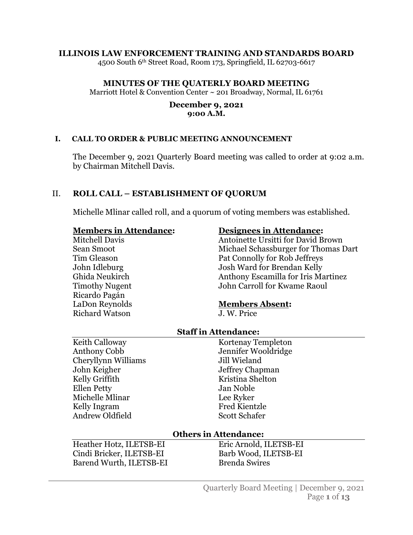#### **ILLINOIS LAW ENFORCEMENT TRAINING AND STANDARDS BOARD**

4500 South 6th Street Road, Room 173, Springfield, IL 62703-6617

#### **MINUTES OF THE QUATERLY BOARD MEETING**

Marriott Hotel & Convention Center ~ 201 Broadway, Normal, IL 61761

#### **December 9, 2021 9:00 A.M.**

#### **I. CALL TO ORDER & PUBLIC MEETING ANNOUNCEMENT**

The December 9, 2021 Quarterly Board meeting was called to order at 9:02 a.m. by Chairman Mitchell Davis.

## II. **ROLL CALL – ESTABLISHMENT OF QUORUM**

Michelle Mlinar called roll, and a quorum of voting members was established.

#### **Members in Attendance:**

Mitchell Davis Sean Smoot Tim Gleason John Idleburg Ghida Neukirch Timothy Nugent Ricardo Pagán LaDon Reynolds Richard Watson

#### **Designees in Attendance:**

Antoinette Ursitti for David Brown Michael Schassburger for Thomas Dart Pat Connolly for Rob Jeffreys Josh Ward for Brendan Kelly Anthony Escamilla for Iris Martinez John Carroll for Kwame Raoul

#### **Members Absent:**

J. W. Price

#### **Staff in Attendance:**

Keith Calloway Anthony Cobb Cheryllynn Williams John Keigher Kelly Griffith Ellen Petty Michelle Mlinar Kelly Ingram Andrew Oldfield

Kortenay Templeton Jennifer Wooldridge Jill Wieland Jeffrey Chapman Kristina Shelton Jan Noble Lee Ryker Fred Kientzle Scott Schafer

#### **Others in Attendance:**

Heather Hotz, ILETSB-EI Cindi Bricker, ILETSB-EI Barend Wurth, ILETSB-EI

Eric Arnold, ILETSB-EI Barb Wood, ILETSB-EI Brenda Swires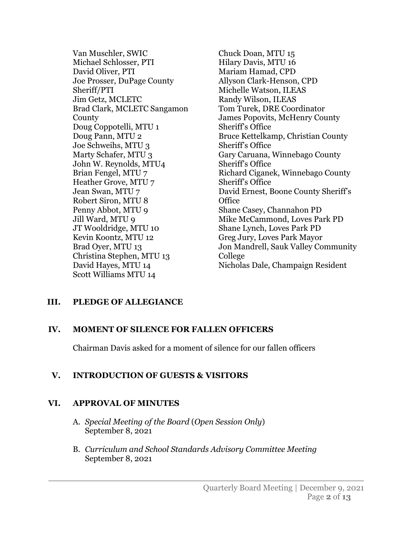Van Muschler, SWIC Michael Schlosser, PTI David Oliver, PTI Joe Prosser, DuPage County Sheriff/PTI Jim Getz, MCLETC Brad Clark, MCLETC Sangamon **County** Doug Coppotelli, MTU 1 Doug Pann, MTU 2 Joe Schweihs, MTU 3 Marty Schafer, MTU 3 John W. Reynolds, MTU4 Brian Fengel, MTU 7 Heather Grove, MTU 7 Jean Swan, MTU 7 Robert Siron, MTU 8 Penny Abbot, MTU 9 Jill Ward, MTU 9 JT Wooldridge, MTU 10 Kevin Koontz, MTU 12 Brad Oyer, MTU 13 Christina Stephen, MTU 13 David Hayes, MTU 14 Scott Williams MTU 14

Chuck Doan, MTU 15 Hilary Davis, MTU 16 Mariam Hamad, CPD Allyson Clark-Henson, CPD Michelle Watson, ILEAS Randy Wilson, ILEAS Tom Turek, DRE Coordinator James Popovits, McHenry County Sheriff's Office Bruce Kettelkamp, Christian County Sheriff's Office Gary Caruana, Winnebago County Sheriff's Office Richard Ciganek, Winnebago County Sheriff's Office David Ernest, Boone County Sheriff's **Office** Shane Casey, Channahon PD Mike McCammond, Loves Park PD Shane Lynch, Loves Park PD Greg Jury, Loves Park Mayor Jon Mandrell, Sauk Valley Community College Nicholas Dale, Champaign Resident

# **III. PLEDGE OF ALLEGIANCE**

# **IV. MOMENT OF SILENCE FOR FALLEN OFFICERS**

Chairman Davis asked for a moment of silence for our fallen officers

# **V. INTRODUCTION OF GUESTS & VISITORS**

# **VI. APPROVAL OF MINUTES**

- A. *Special Meeting of the Board* (*Open Session Only*) September 8, 2021
- B. *Curriculum and School Standards Advisory Committee Meeting* September 8, 2021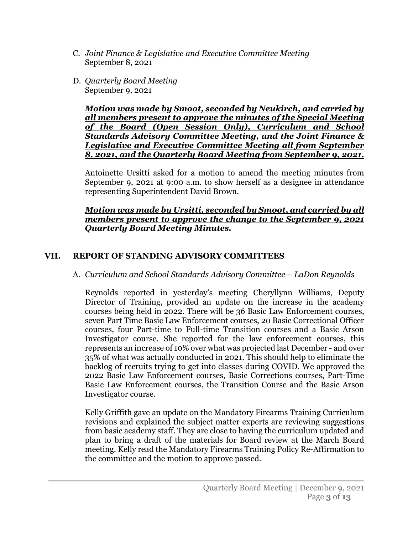- C. *Joint Finance & Legislative and Executive Committee Meeting* September 8, 2021
- D. *Quarterly Board Meeting* September 9, 2021

*Motion was made by Smoot, seconded by Neukirch, and carried by all members present to approve the minutes of the Special Meeting of the Board (Open Session Only), Curriculum and School Standards Advisory Committee Meeting, and the Joint Finance & Legislative and Executive Committee Meeting all from September 8, 2021, and the Quarterly Board Meeting from September 9, 2021.*

Antoinette Ursitti asked for a motion to amend the meeting minutes from September 9, 2021 at 9:00 a.m. to show herself as a designee in attendance representing Superintendent David Brown.

### *Motion was made by Ursitti, seconded by Smoot, and carried by all members present to approve the change to the September 9, 2021 Quarterly Board Meeting Minutes.*

# **VII. REPORT OF STANDING ADVISORY COMMITTEES**

# A. *Curriculum and School Standards Advisory Committee* – *LaDon Reynolds*

Reynolds reported in yesterday's meeting Cheryllynn Williams, Deputy Director of Training, provided an update on the increase in the academy courses being held in 2022. There will be 36 Basic Law Enforcement courses, seven Part Time Basic Law Enforcement courses, 20 Basic Correctional Officer courses, four Part-time to Full-time Transition courses and a Basic Arson Investigator course. She reported for the law enforcement courses, this represents an increase of 10% over what was projected last December - and over 35% of what was actually conducted in 2021. This should help to eliminate the backlog of recruits trying to get into classes during COVID. We approved the 2022 Basic Law Enforcement courses, Basic Corrections courses, Part-Time Basic Law Enforcement courses, the Transition Course and the Basic Arson Investigator course.

Kelly Griffith gave an update on the Mandatory Firearms Training Curriculum revisions and explained the subject matter experts are reviewing suggestions from basic academy staff. They are close to having the curriculum updated and plan to bring a draft of the materials for Board review at the March Board meeting. Kelly read the Mandatory Firearms Training Policy Re-Affirmation to the committee and the motion to approve passed.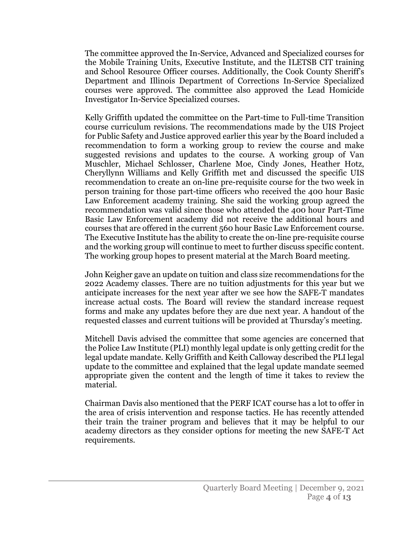The committee approved the In-Service, Advanced and Specialized courses for the Mobile Training Units, Executive Institute, and the ILETSB CIT training and School Resource Officer courses. Additionally, the Cook County Sheriff's Department and Illinois Department of Corrections In-Service Specialized courses were approved. The committee also approved the Lead Homicide Investigator In-Service Specialized courses.

Kelly Griffith updated the committee on the Part-time to Full-time Transition course curriculum revisions. The recommendations made by the UIS Project for Public Safety and Justice approved earlier this year by the Board included a recommendation to form a working group to review the course and make suggested revisions and updates to the course. A working group of Van Muschler, Michael Schlosser, Charlene Moe, Cindy Jones, Heather Hotz, Cheryllynn Williams and Kelly Griffith met and discussed the specific UIS recommendation to create an on-line pre-requisite course for the two week in person training for those part-time officers who received the 400 hour Basic Law Enforcement academy training. She said the working group agreed the recommendation was valid since those who attended the 400 hour Part-Time Basic Law Enforcement academy did not receive the additional hours and courses that are offered in the current 560 hour Basic Law Enforcement course. The Executive Institute has the ability to create the on-line pre-requisite course and the working group will continue to meet to further discuss specific content. The working group hopes to present material at the March Board meeting.

John Keigher gave an update on tuition and class size recommendations for the 2022 Academy classes. There are no tuition adjustments for this year but we anticipate increases for the next year after we see how the SAFE-T mandates increase actual costs. The Board will review the standard increase request forms and make any updates before they are due next year. A handout of the requested classes and current tuitions will be provided at Thursday's meeting.

Mitchell Davis advised the committee that some agencies are concerned that the Police Law Institute (PLI) monthly legal update is only getting credit for the legal update mandate. Kelly Griffith and Keith Calloway described the PLI legal update to the committee and explained that the legal update mandate seemed appropriate given the content and the length of time it takes to review the material.

Chairman Davis also mentioned that the PERF ICAT course has a lot to offer in the area of crisis intervention and response tactics. He has recently attended their train the trainer program and believes that it may be helpful to our academy directors as they consider options for meeting the new SAFE-T Act requirements.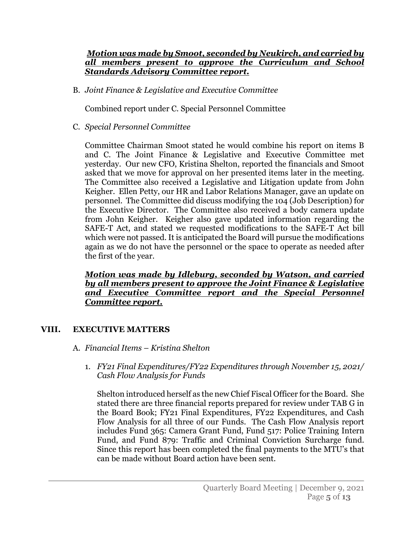## *Motion was made by Smoot, seconded by Neukirch, and carried by all members present to approve the Curriculum and School Standards Advisory Committee report.*

B. *Joint Finance & Legislative and Executive Committee*

Combined report under C. Special Personnel Committee

C. *Special Personnel Committee*

Committee Chairman Smoot stated he would combine his report on items B and C. The Joint Finance & Legislative and Executive Committee met yesterday. Our new CFO, Kristina Shelton, reported the financials and Smoot asked that we move for approval on her presented items later in the meeting. The Committee also received a Legislative and Litigation update from John Keigher. Ellen Petty, our HR and Labor Relations Manager, gave an update on personnel. The Committee did discuss modifying the 104 (Job Description) for the Executive Director. The Committee also received a body camera update from John Keigher. Keigher also gave updated information regarding the SAFE-T Act, and stated we requested modifications to the SAFE-T Act bill which were not passed. It is anticipated the Board will pursue the modifications again as we do not have the personnel or the space to operate as needed after the first of the year.

#### *Motion was made by Idleburg, seconded by Watson, and carried by all members present to approve the Joint Finance & Legislative and Executive Committee report and the Special Personnel Committee report.*

# **VIII. EXECUTIVE MATTERS**

- A. *Financial Items Kristina Shelton*
	- 1. *FY21 Final Expenditures/FY22 Expenditures through November 15, 2021/ Cash Flow Analysis for Funds*

Shelton introduced herself as the new Chief Fiscal Officer for the Board. She stated there are three financial reports prepared for review under TAB G in the Board Book; FY21 Final Expenditures, FY22 Expenditures, and Cash Flow Analysis for all three of our Funds. The Cash Flow Analysis report includes Fund 365: Camera Grant Fund, Fund 517: Police Training Intern Fund, and Fund 879: Traffic and Criminal Conviction Surcharge fund. Since this report has been completed the final payments to the MTU's that can be made without Board action have been sent.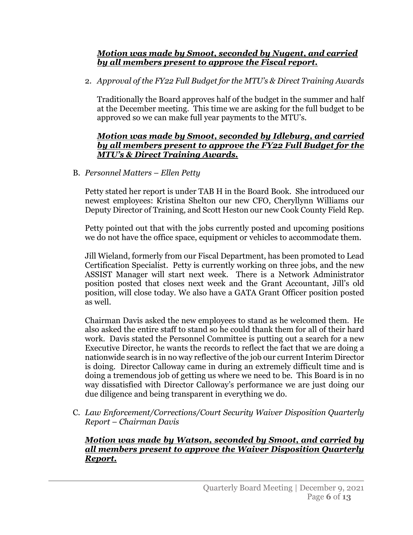# *Motion was made by Smoot, seconded by Nugent, and carried by all members present to approve the Fiscal report.*

2. *Approval of the FY22 Full Budget for the MTU's & Direct Training Awards*

Traditionally the Board approves half of the budget in the summer and half at the December meeting. This time we are asking for the full budget to be approved so we can make full year payments to the MTU's.

## *Motion was made by Smoot, seconded by Idleburg, and carried by all members present to approve the FY22 Full Budget for the MTU's & Direct Training Awards.*

B. *Personnel Matters* – *Ellen Petty*

Petty stated her report is under TAB H in the Board Book. She introduced our newest employees: Kristina Shelton our new CFO, Cheryllynn Williams our Deputy Director of Training, and Scott Heston our new Cook County Field Rep.

Petty pointed out that with the jobs currently posted and upcoming positions we do not have the office space, equipment or vehicles to accommodate them.

Jill Wieland, formerly from our Fiscal Department, has been promoted to Lead Certification Specialist. Petty is currently working on three jobs, and the new ASSIST Manager will start next week. There is a Network Administrator position posted that closes next week and the Grant Accountant, Jill's old position, will close today. We also have a GATA Grant Officer position posted as well.

Chairman Davis asked the new employees to stand as he welcomed them. He also asked the entire staff to stand so he could thank them for all of their hard work. Davis stated the Personnel Committee is putting out a search for a new Executive Director, he wants the records to reflect the fact that we are doing a nationwide search is in no way reflective of the job our current Interim Director is doing. Director Calloway came in during an extremely difficult time and is doing a tremendous job of getting us where we need to be. This Board is in no way dissatisfied with Director Calloway's performance we are just doing our due diligence and being transparent in everything we do.

C. *Law Enforcement/Corrections/Court Security Waiver Disposition Quarterly Report* – *Chairman Davis*

# *Motion was made by Watson, seconded by Smoot, and carried by all members present to approve the Waiver Disposition Quarterly Report.*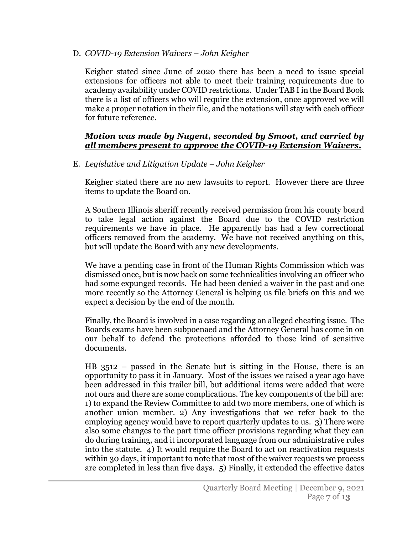D. *COVID-19 Extension Waivers* – *John Keigher*

Keigher stated since June of 2020 there has been a need to issue special extensions for officers not able to meet their training requirements due to academy availability under COVID restrictions. Under TAB I in the Board Book there is a list of officers who will require the extension, once approved we will make a proper notation in their file, and the notations will stay with each officer for future reference.

### *Motion was made by Nugent, seconded by Smoot, and carried by all members present to approve the COVID-19 Extension Waivers.*

E. *Legislative and Litigation Update* – *John Keigher*

Keigher stated there are no new lawsuits to report. However there are three items to update the Board on.

A Southern Illinois sheriff recently received permission from his county board to take legal action against the Board due to the COVID restriction requirements we have in place. He apparently has had a few correctional officers removed from the academy. We have not received anything on this, but will update the Board with any new developments.

We have a pending case in front of the Human Rights Commission which was dismissed once, but is now back on some technicalities involving an officer who had some expunged records. He had been denied a waiver in the past and one more recently so the Attorney General is helping us file briefs on this and we expect a decision by the end of the month.

Finally, the Board is involved in a case regarding an alleged cheating issue. The Boards exams have been subpoenaed and the Attorney General has come in on our behalf to defend the protections afforded to those kind of sensitive documents.

HB 3512 – passed in the Senate but is sitting in the House, there is an opportunity to pass it in January. Most of the issues we raised a year ago have been addressed in this trailer bill, but additional items were added that were not ours and there are some complications. The key components of the bill are: 1) to expand the Review Committee to add two more members, one of which is another union member. 2) Any investigations that we refer back to the employing agency would have to report quarterly updates to us. 3) There were also some changes to the part time officer provisions regarding what they can do during training, and it incorporated language from our administrative rules into the statute. 4) It would require the Board to act on reactivation requests within 30 days, it important to note that most of the waiver requests we process are completed in less than five days. 5) Finally, it extended the effective dates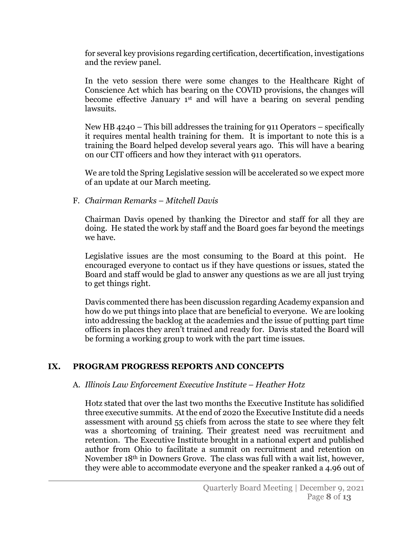for several key provisions regarding certification, decertification, investigations and the review panel.

In the veto session there were some changes to the Healthcare Right of Conscience Act which has bearing on the COVID provisions, the changes will become effective January 1st and will have a bearing on several pending lawsuits.

New HB 4240 – This bill addresses the training for 911 Operators – specifically it requires mental health training for them. It is important to note this is a training the Board helped develop several years ago. This will have a bearing on our CIT officers and how they interact with 911 operators.

We are told the Spring Legislative session will be accelerated so we expect more of an update at our March meeting.

# F. *Chairman Remarks* – *Mitchell Davis*

Chairman Davis opened by thanking the Director and staff for all they are doing. He stated the work by staff and the Board goes far beyond the meetings we have.

Legislative issues are the most consuming to the Board at this point. He encouraged everyone to contact us if they have questions or issues, stated the Board and staff would be glad to answer any questions as we are all just trying to get things right.

Davis commented there has been discussion regarding Academy expansion and how do we put things into place that are beneficial to everyone. We are looking into addressing the backlog at the academies and the issue of putting part time officers in places they aren't trained and ready for. Davis stated the Board will be forming a working group to work with the part time issues.

# **IX. PROGRAM PROGRESS REPORTS AND CONCEPTS**

# A. *Illinois Law Enforcement Executive Institute* – *Heather Hotz*

Hotz stated that over the last two months the Executive Institute has solidified three executive summits. At the end of 2020 the Executive Institute did a needs assessment with around 55 chiefs from across the state to see where they felt was a shortcoming of training. Their greatest need was recruitment and retention. The Executive Institute brought in a national expert and published author from Ohio to facilitate a summit on recruitment and retention on November 18th in Downers Grove. The class was full with a wait list, however, they were able to accommodate everyone and the speaker ranked a 4.96 out of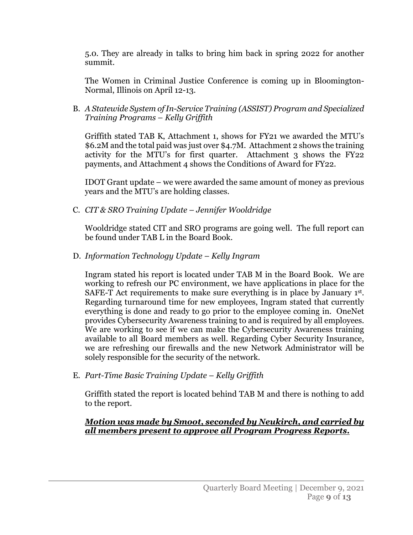5.0. They are already in talks to bring him back in spring 2022 for another summit.

The Women in Criminal Justice Conference is coming up in Bloomington-Normal, Illinois on April 12-13.

# B. *A Statewide System of In-Service Training (ASSIST) Program and Specialized Training Programs* – *Kelly Griffith*

Griffith stated TAB K, Attachment 1, shows for FY21 we awarded the MTU's \$6.2M and the total paid was just over \$4.7M. Attachment 2 shows the training activity for the MTU's for first quarter. Attachment 3 shows the FY22 payments, and Attachment 4 shows the Conditions of Award for FY22.

IDOT Grant update – we were awarded the same amount of money as previous years and the MTU's are holding classes.

C. *CIT & SRO Training Update* – *Jennifer Wooldridge*

Wooldridge stated CIT and SRO programs are going well. The full report can be found under TAB L in the Board Book.

D. *Information Technology Update* – *Kelly Ingram*

Ingram stated his report is located under TAB M in the Board Book. We are working to refresh our PC environment, we have applications in place for the SAFE-T Act requirements to make sure everything is in place by January 1st. Regarding turnaround time for new employees, Ingram stated that currently everything is done and ready to go prior to the employee coming in. OneNet provides Cybersecurity Awareness training to and is required by all employees. We are working to see if we can make the Cybersecurity Awareness training available to all Board members as well. Regarding Cyber Security Insurance, we are refreshing our firewalls and the new Network Administrator will be solely responsible for the security of the network.

E. *Part-Time Basic Training Update* – *Kelly Griffith*

Griffith stated the report is located behind TAB M and there is nothing to add to the report.

# *Motion was made by Smoot, seconded by Neukirch, and carried by all members present to approve all Program Progress Reports.*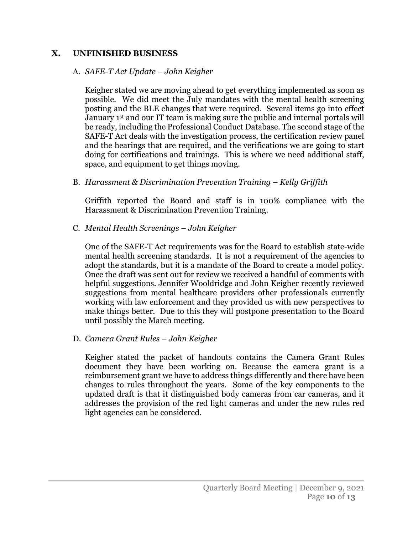# **X. UNFINISHED BUSINESS**

#### A. *SAFE-T Act Update* – *John Keigher*

Keigher stated we are moving ahead to get everything implemented as soon as possible. We did meet the July mandates with the mental health screening posting and the BLE changes that were required. Several items go into effect January 1st and our IT team is making sure the public and internal portals will be ready, including the Professional Conduct Database. The second stage of the SAFE-T Act deals with the investigation process, the certification review panel and the hearings that are required, and the verifications we are going to start doing for certifications and trainings. This is where we need additional staff, space, and equipment to get things moving.

# B. *Harassment & Discrimination Prevention Training* – *Kelly Griffith*

Griffith reported the Board and staff is in 100% compliance with the Harassment & Discrimination Prevention Training.

C. *Mental Health Screenings* – *John Keigher*

One of the SAFE-T Act requirements was for the Board to establish state-wide mental health screening standards. It is not a requirement of the agencies to adopt the standards, but it is a mandate of the Board to create a model policy. Once the draft was sent out for review we received a handful of comments with helpful suggestions. Jennifer Wooldridge and John Keigher recently reviewed suggestions from mental healthcare providers other professionals currently working with law enforcement and they provided us with new perspectives to make things better. Due to this they will postpone presentation to the Board until possibly the March meeting.

# D. *Camera Grant Rules* – *John Keigher*

Keigher stated the packet of handouts contains the Camera Grant Rules document they have been working on. Because the camera grant is a reimbursement grant we have to address things differently and there have been changes to rules throughout the years. Some of the key components to the updated draft is that it distinguished body cameras from car cameras, and it addresses the provision of the red light cameras and under the new rules red light agencies can be considered.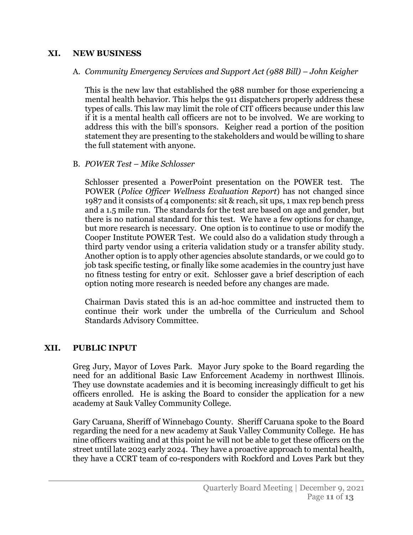## **XI. NEW BUSINESS**

## A. *Community Emergency Services and Support Act (988 Bill)* – *John Keigher*

This is the new law that established the 988 number for those experiencing a mental health behavior. This helps the 911 dispatchers properly address these types of calls. This law may limit the role of CIT officers because under this law if it is a mental health call officers are not to be involved. We are working to address this with the bill's sponsors. Keigher read a portion of the position statement they are presenting to the stakeholders and would be willing to share the full statement with anyone.

## B. *POWER Test* – *Mike Schlosser*

Schlosser presented a PowerPoint presentation on the POWER test. The POWER (*Police Officer Wellness Evaluation Report*) has not changed since 1987 and it consists of 4 components: sit & reach, sit ups, 1 max rep bench press and a 1.5 mile run. The standards for the test are based on age and gender, but there is no national standard for this test. We have a few options for change, but more research is necessary. One option is to continue to use or modify the Cooper Institute POWER Test. We could also do a validation study through a third party vendor using a criteria validation study or a transfer ability study. Another option is to apply other agencies absolute standards, or we could go to job task specific testing, or finally like some academies in the country just have no fitness testing for entry or exit. Schlosser gave a brief description of each option noting more research is needed before any changes are made.

Chairman Davis stated this is an ad-hoc committee and instructed them to continue their work under the umbrella of the Curriculum and School Standards Advisory Committee.

#### **XII. PUBLIC INPUT**

Greg Jury, Mayor of Loves Park. Mayor Jury spoke to the Board regarding the need for an additional Basic Law Enforcement Academy in northwest Illinois. They use downstate academies and it is becoming increasingly difficult to get his officers enrolled. He is asking the Board to consider the application for a new academy at Sauk Valley Community College.

Gary Caruana, Sheriff of Winnebago County. Sheriff Caruana spoke to the Board regarding the need for a new academy at Sauk Valley Community College. He has nine officers waiting and at this point he will not be able to get these officers on the street until late 2023 early 2024. They have a proactive approach to mental health, they have a CCRT team of co-responders with Rockford and Loves Park but they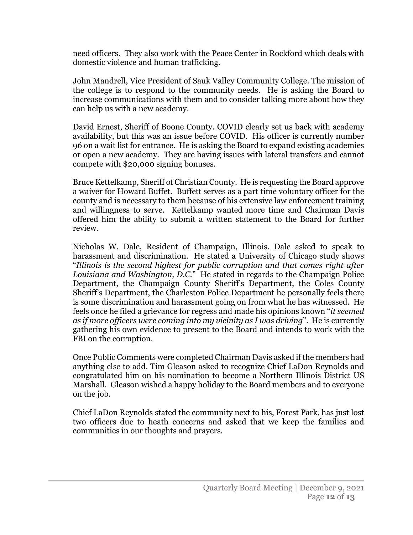need officers. They also work with the Peace Center in Rockford which deals with domestic violence and human trafficking.

John Mandrell, Vice President of Sauk Valley Community College. The mission of the college is to respond to the community needs. He is asking the Board to increase communications with them and to consider talking more about how they can help us with a new academy.

David Ernest, Sheriff of Boone County. COVID clearly set us back with academy availability, but this was an issue before COVID. His officer is currently number 96 on a wait list for entrance. He is asking the Board to expand existing academies or open a new academy. They are having issues with lateral transfers and cannot compete with \$20,000 signing bonuses.

Bruce Kettelkamp, Sheriff of Christian County. He is requesting the Board approve a waiver for Howard Buffet. Buffett serves as a part time voluntary officer for the county and is necessary to them because of his extensive law enforcement training and willingness to serve. Kettelkamp wanted more time and Chairman Davis offered him the ability to submit a written statement to the Board for further review.

Nicholas W. Dale, Resident of Champaign, Illinois. Dale asked to speak to harassment and discrimination. He stated a University of Chicago study shows "*Illinois is the second highest for public corruption and that comes right after Louisiana and Washington, D.C.*" He stated in regards to the Champaign Police Department, the Champaign County Sheriff's Department, the Coles County Sheriff's Department, the Charleston Police Department he personally feels there is some discrimination and harassment going on from what he has witnessed. He feels once he filed a grievance for regress and made his opinions known "*it seemed as if more officers were coming into my vicinity as I was driving*". He is currently gathering his own evidence to present to the Board and intends to work with the FBI on the corruption.

Once Public Comments were completed Chairman Davis asked if the members had anything else to add. Tim Gleason asked to recognize Chief LaDon Reynolds and congratulated him on his nomination to become a Northern Illinois District US Marshall. Gleason wished a happy holiday to the Board members and to everyone on the job.

Chief LaDon Reynolds stated the community next to his, Forest Park, has just lost two officers due to heath concerns and asked that we keep the families and communities in our thoughts and prayers.